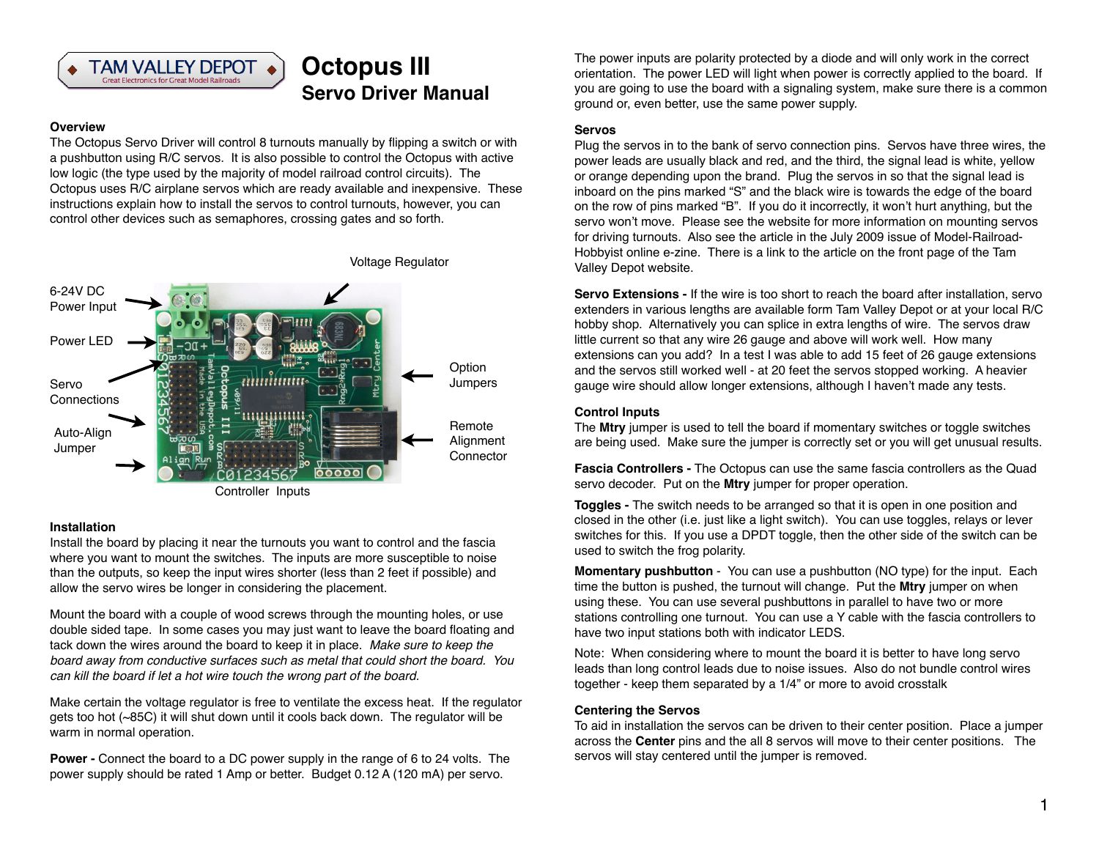

# **Octopus III Servo Driver Manual**

# **Overview**

The Octopus Servo Driver will control 8 turnouts manually by flipping a switch or with a pushbutton using R/C servos. It is also possible to control the Octopus with active low logic (the type used by the majority of model railroad control circuits). The Octopus uses R/C airplane servos which are ready available and inexpensive. These instructions explain how to install the servos to control turnouts, however, you can control other devices such as semaphores, crossing gates and so forth.



#### **Installation**

Install the board by placing it near the turnouts you want to control and the fascia where you want to mount the switches. The inputs are more susceptible to noise than the outputs, so keep the input wires shorter (less than 2 feet if possible) and allow the servo wires be longer in considering the placement.

Mount the board with a couple of wood screws through the mounting holes, or use double sided tape. In some cases you may just want to leave the board floating and tack down the wires around the board to keep it in place. *Make sure to keep the board away from conductive surfaces such as metal that could short the board. You can kill the board if let a hot wire touch the wrong part of the board.*

Make certain the voltage regulator is free to ventilate the excess heat. If the regulator gets too hot (~85C) it will shut down until it cools back down. The regulator will be warm in normal operation.

**Power -** Connect the board to a DC power supply in the range of 6 to 24 volts. The power supply should be rated 1 Amp or better. Budget 0.12 A (120 mA) per servo.

The power inputs are polarity protected by a diode and will only work in the correct orientation. The power LED will light when power is correctly applied to the board. If you are going to use the board with a signaling system, make sure there is a common ground or, even better, use the same power supply.

# **Servos**

Plug the servos in to the bank of servo connection pins. Servos have three wires, the power leads are usually black and red, and the third, the signal lead is white, yellow or orange depending upon the brand. Plug the servos in so that the signal lead is inboard on the pins marked "S" and the black wire is towards the edge of the board on the row of pins marked "B". If you do it incorrectly, it won't hurt anything, but the servo won't move. Please see the website for more information on mounting servos for driving turnouts. Also see the article in the July 2009 issue of Model-Railroad-Hobbyist online e-zine. There is a link to the article on the front page of the Tam Valley Depot website.

**Servo Extensions -** If the wire is too short to reach the board after installation, servo extenders in various lengths are available form Tam Valley Depot or at your local R/C hobby shop. Alternatively you can splice in extra lengths of wire. The servos draw little current so that any wire 26 gauge and above will work well. How many extensions can you add? In a test I was able to add 15 feet of 26 gauge extensions and the servos still worked well - at 20 feet the servos stopped working. A heavier gauge wire should allow longer extensions, although I haven't made any tests.

### **Control Inputs**

The **Mtry** jumper is used to tell the board if momentary switches or toggle switches are being used. Make sure the jumper is correctly set or you will get unusual results.

**Fascia Controllers -** The Octopus can use the same fascia controllers as the Quad servo decoder. Put on the **Mtry** jumper for proper operation.

**Toggles -** The switch needs to be arranged so that it is open in one position and closed in the other (i.e. just like a light switch). You can use toggles, relays or lever switches for this. If you use a DPDT toggle, then the other side of the switch can be used to switch the frog polarity.

**Momentary pushbutton** - You can use a pushbutton (NO type) for the input. Each time the button is pushed, the turnout will change. Put the **Mtry** jumper on when using these. You can use several pushbuttons in parallel to have two or more stations controlling one turnout. You can use a Y cable with the fascia controllers to have two input stations both with indicator LEDS.

Note: When considering where to mount the board it is better to have long servo leads than long control leads due to noise issues. Also do not bundle control wires together - keep them separated by a 1/4" or more to avoid crosstalk

### **Centering the Servos**

To aid in installation the servos can be driven to their center position. Place a jumper across the **Center** pins and the all 8 servos will move to their center positions. The servos will stay centered until the jumper is removed.